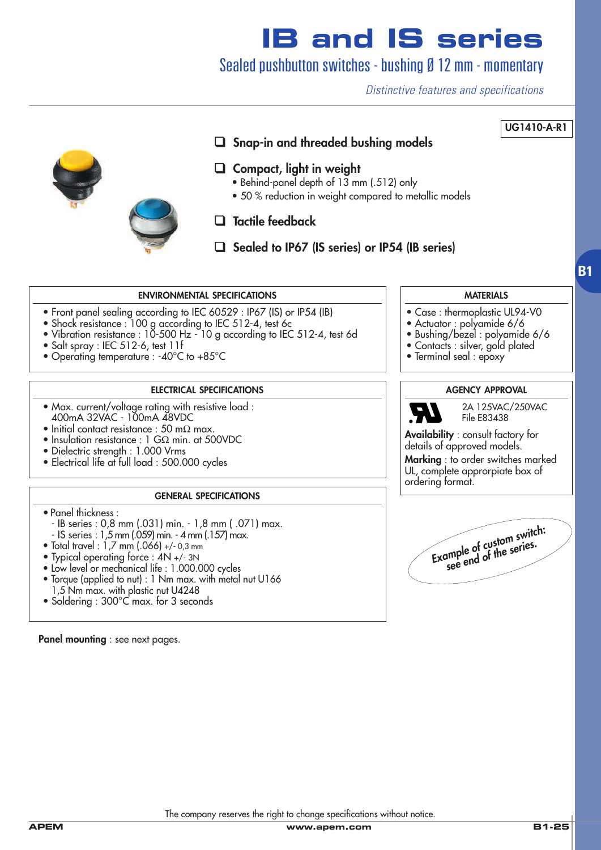Sealed pushbutton switches - bushing Ø 12 mm - momentary

*Distinctive features and specifications*



The company reserves the right to change specifications without notice.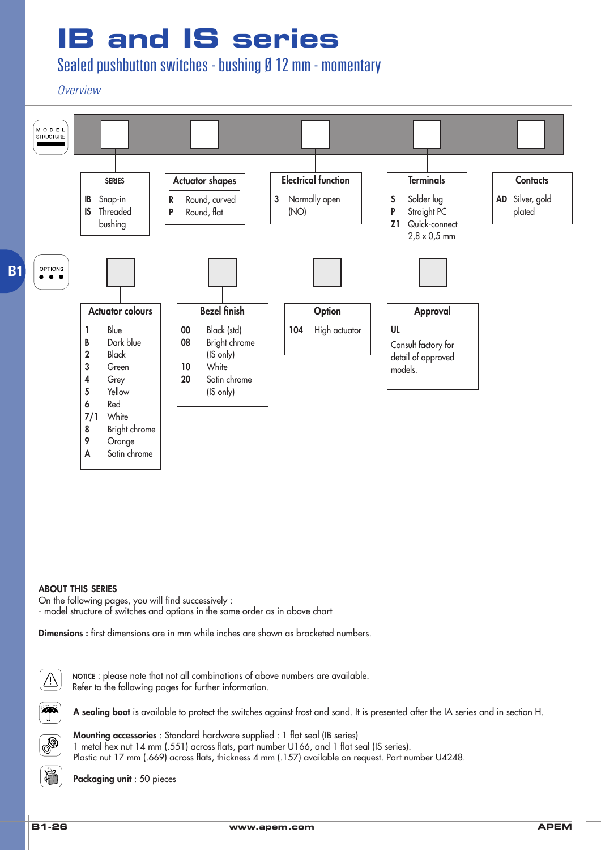Sealed pushbutton switches - bushing Ø 12 mm - momentary

*Overview*



#### **ABOUT THIS SERIES**

On the following pages, you will find successively :

- model structure of switches and options in the same order as in above chart

**Dimensions :** first dimensions are in mm while inches are shown as bracketed numbers.



P

**NOTICE** : please note that not all combinations of above numbers are available. Refer to the following pages for further information.

**A sealing boot** is available to protect the switches against frost and sand. It is presented after the IA series and in section H.



**Mounting accessories** : Standard hardware supplied : 1 flat seal (IB series) 1 metal hex nut 14 mm (.551) across flats, part number U166, and 1 flat seal (IS series). Plastic nut 17 mm (.669) across flats, thickness 4 mm (.157) available on request. Part number U4248.

**Packaging unit** : 50 pieces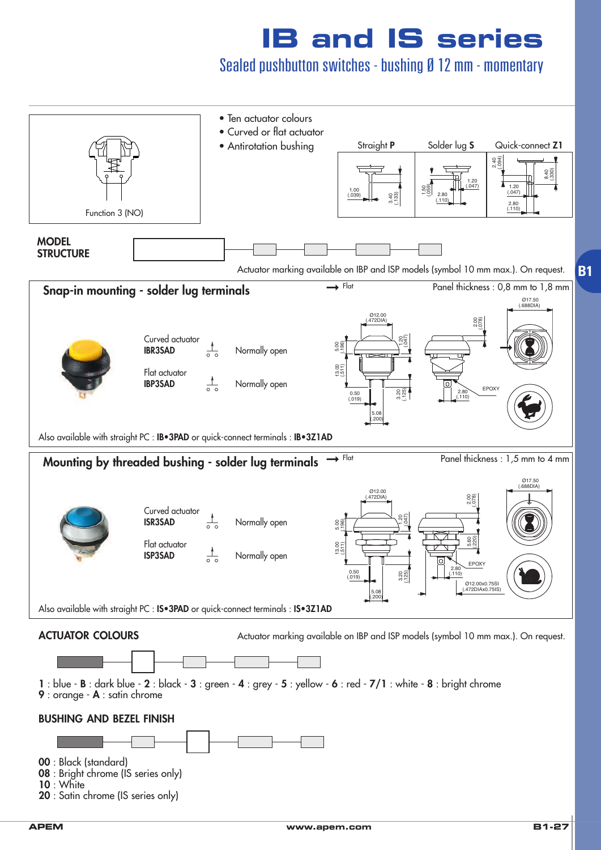Sealed pushbutton switches - bushing Ø 12 mm - momentary

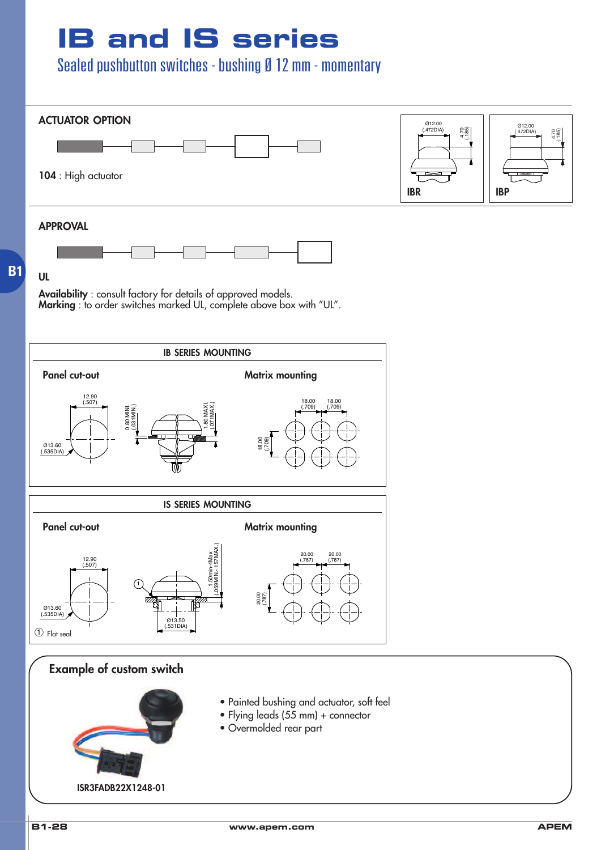Sealed pushbutton switches - bushing Ø 12 mm - momentary